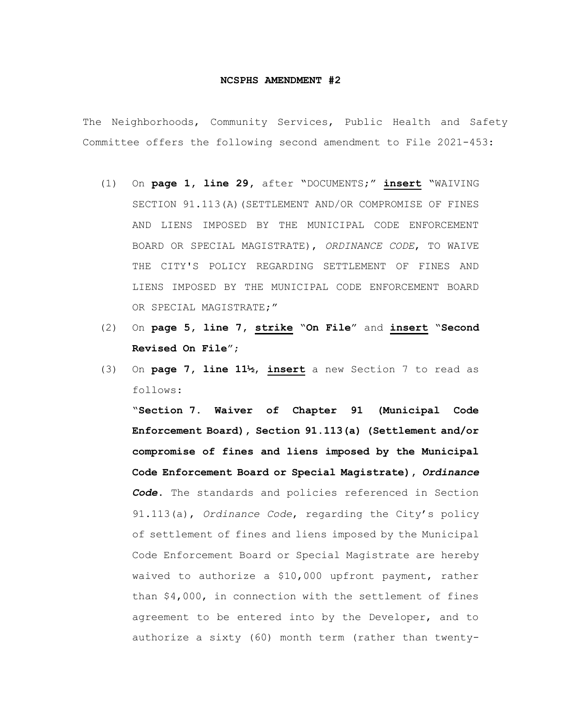## **NCSPHS AMENDMENT #2**

The Neighborhoods, Community Services, Public Health and Safety Committee offers the following second amendment to File 2021-453:

- (1) On **page 1, line 29,** after "DOCUMENTS;" **insert** "WAIVING SECTION 91.113(A)(SETTLEMENT AND/OR COMPROMISE OF FINES AND LIENS IMPOSED BY THE MUNICIPAL CODE ENFORCEMENT BOARD OR SPECIAL MAGISTRATE), *ORDINANCE CODE*, TO WAIVE THE CITY'S POLICY REGARDING SETTLEMENT OF FINES AND LIENS IMPOSED BY THE MUNICIPAL CODE ENFORCEMENT BOARD OR SPECIAL MAGISTRATE;"
- (2) On **page 5, line 7, strike** "**On File**" and **insert** "**Second Revised On File**";
- (3) On **page 7, line 11½**, **insert** a new Section 7 to read as follows:

"**Section 7. Waiver of Chapter 91 (Municipal Code Enforcement Board), Section 91.113(a) (Settlement and/or compromise of fines and liens imposed by the Municipal Code Enforcement Board or Special Magistrate),** *Ordinance Code***.** The standards and policies referenced in Section 91.113(a), *Ordinance Code*, regarding the City's policy of settlement of fines and liens imposed by the Municipal Code Enforcement Board or Special Magistrate are hereby waived to authorize a \$10,000 upfront payment, rather than \$4,000, in connection with the settlement of fines agreement to be entered into by the Developer, and to authorize a sixty (60) month term (rather than twenty-